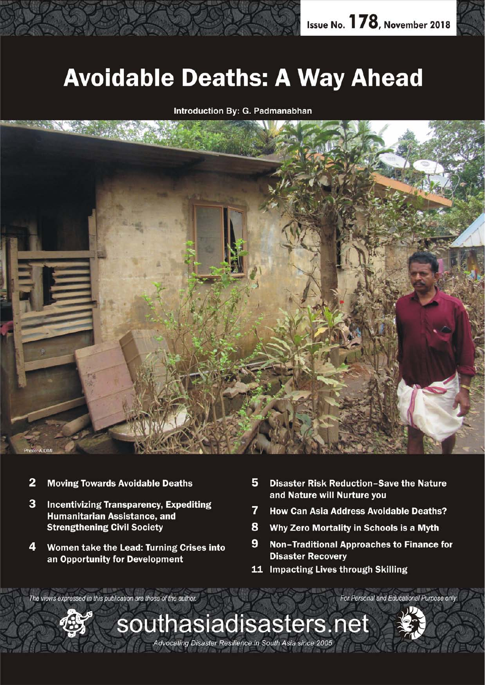## **Avoidable Deaths: A Way Ahead**

Introduction By: G. Padmanabhan



- $\overline{2}$ **Moving Towards Avoidable Deaths**
- 3 **Incentivizing Transparency, Expediting Humanitarian Assistance, and Strengthening Civil Society**
- 4 Women take the Lead: Turning Crises into an Opportunity for Development
- 5 **Disaster Risk Reduction-Save the Nature** and Nature will Nurture you
- 7 **How Can Asia Address Avoidable Deaths?**
- 8 Why Zero Mortality in Schools is a Myth
- 9 **Non-Traditional Approaches to Finance for Disaster Recovery**

For Personal and Educational Purpose only

11 Impacting Lives through Skilling

The views expressed in this publication are those of the author.



southasiadisasters.net Advocating Disaster Resilience in South Asia since 2005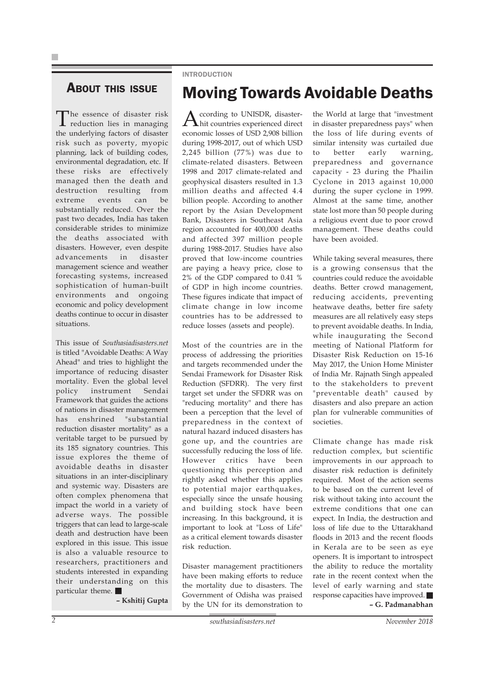### ABOUT THIS ISSUE

The essence of disaster risk reduction lies in managing the underlying factors of disaster risk such as poverty, myopic planning, lack of building codes, environmental degradation, etc. If these risks are effectively managed then the death and destruction resulting from extreme events can be substantially reduced. Over the past two decades, India has taken considerable strides to minimize the deaths associated with disasters. However, even despite advancements in disaster management science and weather forecasting systems, increased sophistication of human-built environments and ongoing economic and policy development deaths continue to occur in disaster situations.

This issue of *Southasiadisasters.net* is titled "Avoidable Deaths: A Way Ahead" and tries to highlight the importance of reducing disaster mortality. Even the global level policy instrument Sendai Framework that guides the actions of nations in disaster management has enshrined "substantial reduction disaster mortality" as a veritable target to be pursued by its 185 signatory countries. This issue explores the theme of avoidable deaths in disaster situations in an inter-disciplinary and systemic way. Disasters are often complex phenomena that impact the world in a variety of adverse ways. The possible triggers that can lead to large-scale death and destruction have been explored in this issue. This issue is also a valuable resource to researchers, practitioners and students interested in expanding their understanding on this particular theme.

**– Kshitij Gupta**

#### INTRODUCTION

### Moving Towards Avoidable Deaths

According to UNISDR, disaster-hit countries experienced direct economic losses of USD 2,908 billion during 1998-2017, out of which USD 2,245 billion (77%) was due to climate-related disasters. Between 1998 and 2017 climate-related and geophysical disasters resulted in 1.3 million deaths and affected 4.4 billion people. According to another report by the Asian Development Bank, Disasters in Southeast Asia region accounted for 400,000 deaths and affected 397 million people during 1988-2017. Studies have also proved that low-income countries are paying a heavy price, close to 2% of the GDP compared to 0.41 % of GDP in high income countries. These figures indicate that impact of climate change in low income countries has to be addressed to reduce losses (assets and people).

Most of the countries are in the process of addressing the priorities and targets recommended under the Sendai Framework for Disaster Risk Reduction (SFDRR). The very first target set under the SFDRR was on "reducing mortality" and there has been a perception that the level of preparedness in the context of natural hazard induced disasters has gone up, and the countries are successfully reducing the loss of life. However critics have been questioning this perception and rightly asked whether this applies to potential major earthquakes, especially since the unsafe housing and building stock have been increasing. In this background, it is important to look at "Loss of Life" as a critical element towards disaster risk reduction.

Disaster management practitioners have been making efforts to reduce the mortality due to disasters. The Government of Odisha was praised by the UN for its demonstration to

the World at large that "investment in disaster preparedness pays" when the loss of life during events of similar intensity was curtailed due to better early warning, preparedness and governance capacity - 23 during the Phailin Cyclone in 2013 against 10,000 during the super cyclone in 1999. Almost at the same time, another state lost more than 50 people during a religious event due to poor crowd management. These deaths could have been avoided.

While taking several measures, there is a growing consensus that the countries could reduce the avoidable deaths. Better crowd management, reducing accidents, preventing heatwave deaths, better fire safety measures are all relatively easy steps to prevent avoidable deaths. In India, while inaugurating the Second meeting of National Platform for Disaster Risk Reduction on 15-16 May 2017, the Union Home Minister of India Mr. Rajnath Singh appealed to the stakeholders to prevent "preventable death" caused by disasters and also prepare an action plan for vulnerable communities of societies.

Climate change has made risk reduction complex, but scientific improvements in our approach to disaster risk reduction is definitely required. Most of the action seems to be based on the current level of risk without taking into account the extreme conditions that one can expect. In India, the destruction and loss of life due to the Uttarakhand floods in 2013 and the recent floods in Kerala are to be seen as eye openers. It is important to introspect the ability to reduce the mortality rate in the recent context when the level of early warning and state response capacities have improved. **– G. Padmanabhan**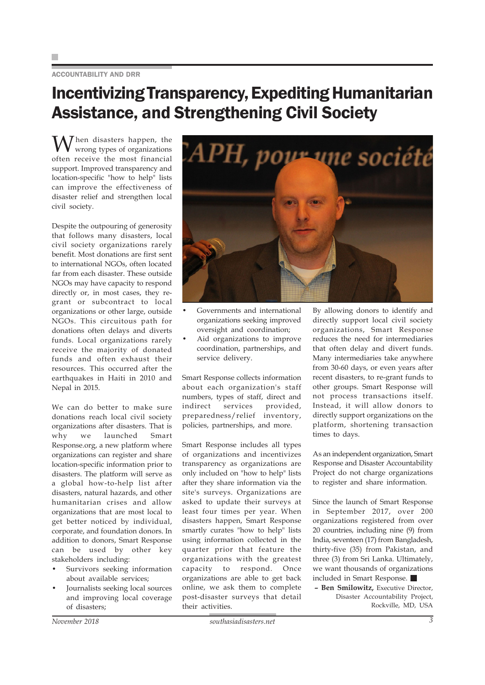#### ACCOUNTABILITY AND DRR

### Incentivizing Transparency, Expediting Humanitarian Assistance, and Strengthening Civil Society

 $\sum$  hen disasters happen, the wrong types of organizations often receive the most financial support. Improved transparency and location-specific "how to help" lists can improve the effectiveness of disaster relief and strengthen local civil society.

Despite the outpouring of generosity that follows many disasters, local civil society organizations rarely benefit. Most donations are first sent to international NGOs, often located far from each disaster. These outside NGOs may have capacity to respond directly or, in most cases, they regrant or subcontract to local organizations or other large, outside NGOs. This circuitous path for donations often delays and diverts funds. Local organizations rarely receive the majority of donated funds and often exhaust their resources. This occurred after the earthquakes in Haiti in 2010 and Nepal in 2015.

We can do better to make sure donations reach local civil society organizations after disasters. That is why we launched Smart Response.org, a new platform where organizations can register and share location-specific information prior to disasters. The platform will serve as a global how-to-help list after disasters, natural hazards, and other humanitarian crises and allow organizations that are most local to get better noticed by individual, corporate, and foundation donors. In addition to donors, Smart Response can be used by other key stakeholders including:

- Survivors seeking information about available services;
- Journalists seeking local sources and improving local coverage of disasters;



Governments and international organizations seeking improved oversight and coordination;

• Aid organizations to improve coordination, partnerships, and service delivery.

Smart Response collects information about each organization's staff numbers, types of staff, direct and indirect services provided, preparedness/relief inventory, policies, partnerships, and more.

Smart Response includes all types of organizations and incentivizes transparency as organizations are only included on "how to help" lists after they share information via the site's surveys. Organizations are asked to update their surveys at least four times per year. When disasters happen, Smart Response smartly curates "how to help" lists using information collected in the quarter prior that feature the organizations with the greatest capacity to respond. Once organizations are able to get back online, we ask them to complete post-disaster surveys that detail their activities.

By allowing donors to identify and directly support local civil society organizations, Smart Response reduces the need for intermediaries that often delay and divert funds. Many intermediaries take anywhere from 30-60 days, or even years after recent disasters, to re-grant funds to other groups. Smart Response will not process transactions itself. Instead, it will allow donors to directly support organizations on the platform, shortening transaction times to days.

As an independent organization, Smart Response and Disaster Accountability Project do not charge organizations to register and share information.

Since the launch of Smart Response in September 2017, over 200 organizations registered from over 20 countries, including nine (9) from India, seventeen (17) from Bangladesh, thirty-five (35) from Pakistan, and three (3) from Sri Lanka. Ultimately, we want thousands of organizations included in Smart Response.

**– Ben Smilowitz,** Executive Director, Disaster Accountability Project, Rockville, MD, USA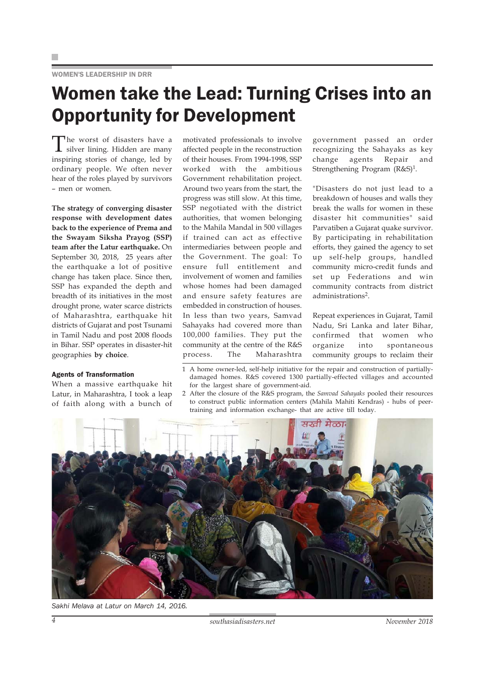#### WOMEN'S LEADERSHIP IN DRR

### Women take the Lead: Turning Crises into an Opportunity for Development

The worst of disasters have a silver lining. Hidden are many inspiring stories of change, led by ordinary people. We often never hear of the roles played by survivors – men or women.

**The strategy of converging disaster response with development dates back to the experience of Prema and the Swayam Siksha Prayog (SSP) team after the Latur earthquake.** On September 30, 2018, 25 years after the earthquake a lot of positive change has taken place. Since then, SSP has expanded the depth and breadth of its initiatives in the most drought prone, water scarce districts of Maharashtra, earthquake hit districts of Gujarat and post Tsunami in Tamil Nadu and post 2008 floods in Bihar. SSP operates in disaster-hit geographies **by choice**.

#### Agents of Transformation

When a massive earthquake hit Latur, in Maharashtra, I took a leap of faith along with a bunch of

motivated professionals to involve affected people in the reconstruction of their houses. From 1994-1998, SSP worked with the ambitious Government rehabilitation project. Around two years from the start, the progress was still slow. At this time, SSP negotiated with the district authorities, that women belonging to the Mahila Mandal in 500 villages if trained can act as effective intermediaries between people and the Government. The goal: To ensure full entitlement and involvement of women and families whose homes had been damaged and ensure safety features are embedded in construction of houses. In less than two years, Samvad Sahayaks had covered more than 100,000 families. They put the community at the centre of the R&S process. The Maharashtra

government passed an order recognizing the Sahayaks as key change agents Repair and Strengthening Program  $(R&S)^1$ .

"Disasters do not just lead to a breakdown of houses and walls they break the walls for women in these disaster hit communities" said Parvatiben a Gujarat quake survivor. By participating in rehabilitation efforts, they gained the agency to set up self-help groups, handled community micro-credit funds and set up Federations and win community contracts from district administrations2.

Repeat experiences in Gujarat, Tamil Nadu, Sri Lanka and later Bihar, confirmed that women who organize into spontaneous community groups to reclaim their

- 1 A home owner-led, self-help initiative for the repair and construction of partiallydamaged homes. R&S covered 1300 partially-effected villages and accounted for the largest share of government-aid.
- 2 After the closure of the R&S program, the *Samvad Sahayaks* pooled their resources to construct public information centers (Mahila Mahiti Kendras) - hubs of peertraining and information exchange- that are active till today.



*Sakhi Melava at Latur on March 14, 2016.*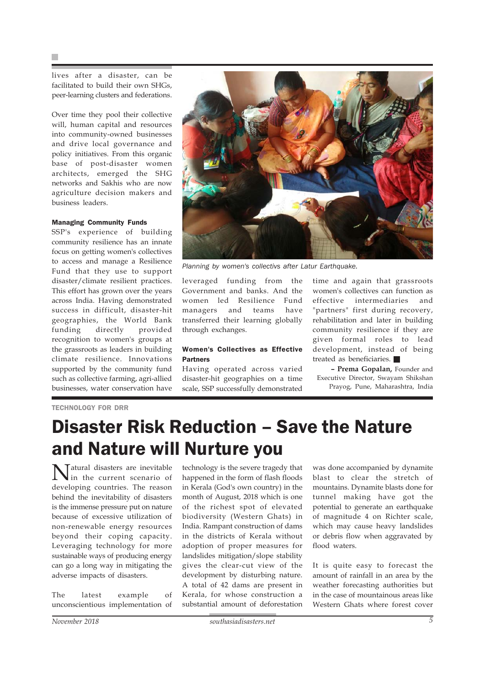lives after a disaster, can be facilitated to build their own SHGs, peer-learning clusters and federations.

Over time they pool their collective will, human capital and resources into community-owned businesses and drive local governance and policy initiatives. From this organic base of post-disaster women architects, emerged the SHG networks and Sakhis who are now agriculture decision makers and business leaders.

#### Managing Community Funds

SSP's experience of building community resilience has an innate focus on getting women's collectives to access and manage a Resilience Fund that they use to support disaster/climate resilient practices. This effort has grown over the years across India. Having demonstrated success in difficult, disaster-hit geographies, the World Bank funding directly provided recognition to women's groups at the grassroots as leaders in building climate resilience. Innovations supported by the community fund such as collective farming, agri-allied businesses, water conservation have



*Planning by women's collectivs after Latur Earthquake.*

leveraged funding from the Government and banks. And the women led Resilience Fund managers and teams have transferred their learning globally through exchanges.

#### Women's Collectives as Effective Partners

Having operated across varied disaster-hit geographies on a time scale, SSP successfully demonstrated

time and again that grassroots women's collectives can function as effective intermediaries and "partners" first during recovery, rehabilitation and later in building community resilience if they are given formal roles to lead development, instead of being treated as beneficiaries.

**– Prema Gopalan,** Founder and Executive Director, Swayam Shikshan Prayog, Pune, Maharashtra, India

#### TECHNOLOGY FOR DRR

### Disaster Risk Reduction – Save the Nature and Nature will Nurture you

Natural disasters are inevitable in the current scenario of developing countries. The reason behind the inevitability of disasters is the immense pressure put on nature because of excessive utilization of non-renewable energy resources beyond their coping capacity. Leveraging technology for more sustainable ways of producing energy can go a long way in mitigating the adverse impacts of disasters.

The latest example of unconscientious implementation of

technology is the severe tragedy that happened in the form of flash floods in Kerala (God's own country) in the month of August, 2018 which is one of the richest spot of elevated biodiversity (Western Ghats) in India. Rampant construction of dams in the districts of Kerala without adoption of proper measures for landslides mitigation/slope stability gives the clear-cut view of the development by disturbing nature. A total of 42 dams are present in Kerala, for whose construction a substantial amount of deforestation

was done accompanied by dynamite blast to clear the stretch of mountains. Dynamite blasts done for tunnel making have got the potential to generate an earthquake of magnitude 4 on Richter scale, which may cause heavy landslides or debris flow when aggravated by flood waters.

It is quite easy to forecast the amount of rainfall in an area by the weather forecasting authorities but in the case of mountainous areas like Western Ghats where forest cover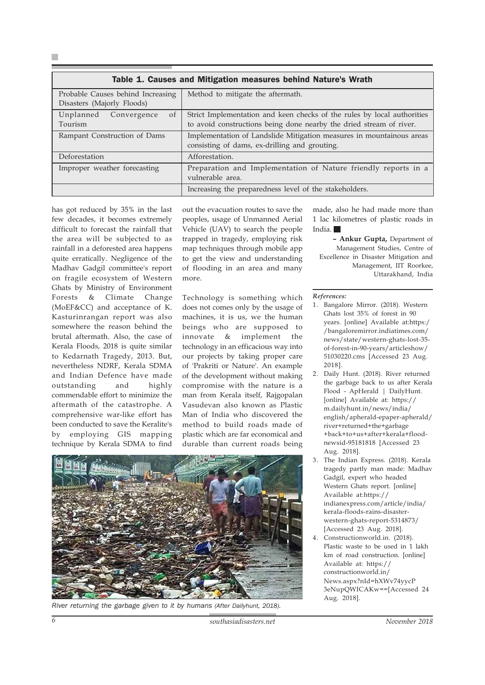| Table 1. Causes and Mitigation measures behind Nature's Wrath   |                                                                                                                                                |
|-----------------------------------------------------------------|------------------------------------------------------------------------------------------------------------------------------------------------|
| Probable Causes behind Increasing<br>Disasters (Majorly Floods) | Method to mitigate the aftermath.                                                                                                              |
| $\sigma$ f<br>Unplanned Convergence<br>Tourism                  | Strict Implementation and keen checks of the rules by local authorities<br>to avoid constructions being done nearby the dried stream of river. |
| Rampant Construction of Dams                                    | Implementation of Landslide Mitigation measures in mountainous areas<br>consisting of dams, ex-drilling and grouting.                          |
| Deforestation                                                   | Afforestation.                                                                                                                                 |
| Improper weather forecasting                                    | Preparation and Implementation of Nature friendly reports in a<br>vulnerable area.                                                             |
|                                                                 | Increasing the preparedness level of the stakeholders.                                                                                         |

has got reduced by 35% in the last few decades, it becomes extremely difficult to forecast the rainfall that the area will be subjected to as rainfall in a deforested area happens quite erratically. Negligence of the Madhav Gadgil committee's report on fragile ecosystem of Western Ghats by Ministry of Environment Forests & Climate Change (MoEF&CC) and acceptance of K. Kasturinrangan report was also somewhere the reason behind the brutal aftermath. Also, the case of Kerala Floods, 2018 is quite similar to Kedarnath Tragedy, 2013. But, nevertheless NDRF, Kerala SDMA and Indian Defence have made outstanding and highly commendable effort to minimize the aftermath of the catastrophe. A comprehensive war-like effort has been conducted to save the Keralite's by employing GIS mapping technique by Kerala SDMA to find

out the evacuation routes to save the peoples, usage of Unmanned Aerial Vehicle (UAV) to search the people trapped in tragedy, employing risk map techniques through mobile app to get the view and understanding of flooding in an area and many more.

Technology is something which does not comes only by the usage of machines, it is us, we the human beings who are supposed to innovate & implement the technology in an efficacious way into our projects by taking proper care of 'Prakriti or Nature'. An example of the development without making compromise with the nature is a man from Kerala itself, Rajgopalan Vasudevan also known as Plastic Man of India who discovered the method to build roads made of plastic which are far economical and durable than current roads being



*River returning the garbage given to it by humans (After Dailyhunt, 2018).*

made, also he had made more than 1 lac kilometres of plastic roads in India.

**– Ankur Gupta,** Department of Management Studies, Centre of Excellence in Disaster Mitigation and Management, IIT Roorkee, Uttarakhand, India

#### *References:*

- 1. Bangalore Mirror. (2018). Western Ghats lost 35% of forest in 90 years. [online] Available at:https:/ /bangaloremirror.indiatimes.com/ news/state/western-ghats-lost-35 of-forest-in-90-years/articleshow/ 51030220.cms [Accessed 23 Aug. 2018].
- 2. Daily Hunt. (2018). River returned the garbage back to us after Kerala Flood - ApHerald | DailyHunt. [online] Available at: https:// m.dailyhunt.in/news/india/ english/apherald-epaper-apherald/ river+returned+the+garbage +back+to+us+after+kerala+floodnewsid-95181818 [Accessed 23 Aug. 2018].
- 3. The Indian Express. (2018). Kerala tragedy partly man made: Madhav Gadgil, expert who headed Western Ghats report. [online] Available at:https:// indianexpress.com/article/india/ kerala-floods-rains-disasterwestern-ghats-report-5314873/ [Accessed 23 Aug. 2018].
- 4. Constructionworld.in. (2018). Plastic waste to be used in 1 lakh km of road construction. [online] Available at: https:// constructionworld.in/ News.aspx?nId=hXWv74yycP 3eNupQWICAKw==[Accessed 24 Aug. 2018].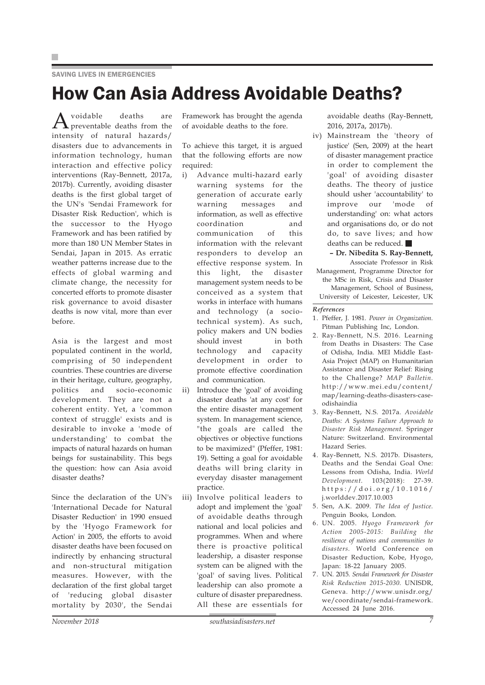#### SAVING LIVES IN EMERGENCIES

### How Can Asia Address Avoidable Deaths?

 $A$ <sup>voidable deaths are</sup> intensity of natural hazards/ disasters due to advancements in information technology, human interaction and effective policy interventions (Ray-Bennett, 2017a, 2017b). Currently, avoiding disaster deaths is the first global target of the UN's 'Sendai Framework for Disaster Risk Reduction', which is the successor to the Hyogo Framework and has been ratified by more than 180 UN Member States in Sendai, Japan in 2015. As erratic weather patterns increase due to the effects of global warming and climate change, the necessity for concerted efforts to promote disaster risk governance to avoid disaster deaths is now vital, more than ever before.

Asia is the largest and most populated continent in the world, comprising of 50 independent countries. These countries are diverse in their heritage, culture, geography, politics and socio-economic development. They are not a coherent entity. Yet, a 'common context of struggle' exists and is desirable to invoke a 'mode of understanding' to combat the impacts of natural hazards on human beings for sustainability. This begs the question: how can Asia avoid disaster deaths?

Since the declaration of the UN's 'International Decade for Natural Disaster Reduction' in 1990 ensued by the 'Hyogo Framework for Action' in 2005, the efforts to avoid disaster deaths have been focused on indirectly by enhancing structural and non-structural mitigation measures. However, with the declaration of the first global target of 'reducing global disaster mortality by 2030', the Sendai Framework has brought the agenda of avoidable deaths to the fore.

To achieve this target, it is argued that the following efforts are now required:

- i) Advance multi-hazard early warning systems for the generation of accurate early warning messages and information, as well as effective coordination and communication of this information with the relevant responders to develop an effective response system. In this light, the disaster management system needs to be conceived as a system that works in interface with humans and technology (a sociotechnical system). As such, policy makers and UN bodies should invest in both technology and capacity development in order to promote effective coordination and communication.
- ii) Introduce the 'goal' of avoiding disaster deaths 'at any cost' for the entire disaster management system. In management science, "the goals are called the objectives or objective functions to be maximized" (Pfeffer, 1981: 19). Setting a goal for avoidable deaths will bring clarity in everyday disaster management practice.
- iii) Involve political leaders to adopt and implement the 'goal' of avoidable deaths through national and local policies and programmes. When and where there is proactive political leadership, a disaster response system can be aligned with the 'goal' of saving lives. Political leadership can also promote a culture of disaster preparedness. All these are essentials for

avoidable deaths (Ray-Bennett, 2016, 2017a, 2017b).

iv) Mainstream the 'theory of justice' (Sen, 2009) at the heart of disaster management practice in order to complement the 'goal' of avoiding disaster deaths. The theory of justice should usher 'accountability' to improve our 'mode of understanding' on: what actors and organisations do, or do not do, to save lives; and how deaths can be reduced.

**– Dr. Nibedita S. Ray-Bennett,** Associate Professor in Risk Management, Programme Director for the MSc in Risk, Crisis and Disaster Management, School of Business, University of Leicester, Leicester, UK

#### *References*

- 1. Pfeffer, J. 1981. *Power in Organization.* Pitman Publishing Inc, London.
- 2. Ray-Bennett, N.S. 2016. Learning from Deaths in Disasters: The Case of Odisha, India. MEI Middle East-Asia Project (MAP) on Humanitarian Assistance and Disaster Relief: Rising to the Challenge? *MAP Bulletin.* http://www.mei.edu/content/ map/learning-deaths-disasters-caseodishaindia
- 3. Ray-Bennett, N.S. 2017a. *Avoidable Deaths: A Systems Failure Approach to Disaster Risk Management.* Springer Nature: Switzerland. Environmental Hazard Series.
- 4. Ray-Bennett, N.S. 2017b. Disasters, Deaths and the Sendai Goal One: Lessons from Odisha, India. *World Development.* 103(2018): 27-39. https://doi.org/10.1016/ j.worlddev.2017.10.003
- 5. Sen, A.K. 2009. *The Idea of Justice.* Penguin Books, London.
- 6. UN. 2005. *Hyogo Framework for Action 2005-2015: Building the resilience of nations and communities to disasters.* World Conference on Disaster Reduction, Kobe, Hyogo, Japan: 18-22 January 2005.
- 7. UN. 2015. *Sendai Framework for Disaster Risk Reduction 2015-2030.* UNISDR, Geneva. http://www.unisdr.org/ we/coordinate/sendai-framework. Accessed 24 June 2016.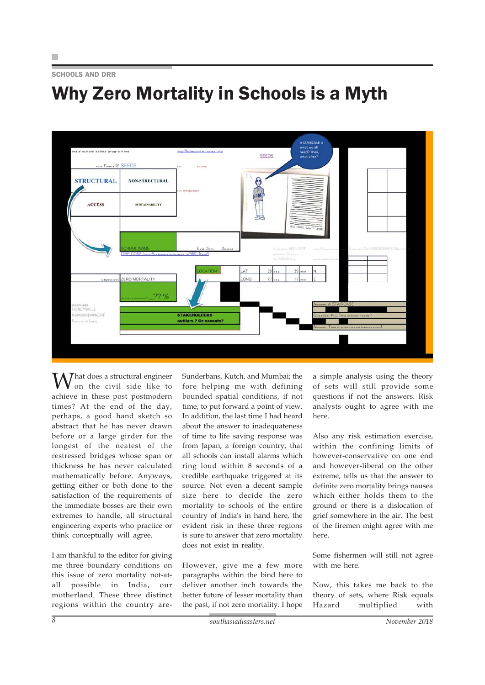## Why Zero Mortality in Schools is a Myth



What does a structural engineer<br>on the civil side like to achieve in these post postmodern times? At the end of the day, perhaps, a good hand sketch so abstract that he has never drawn before or a large girder for the longest of the neatest of the restressed bridges whose span or thickness he has never calculated mathematically before. Anyways, getting either or both done to the satisfaction of the requirements of the immediate bosses are their own extremes to handle, all structural engineering experts who practice or think conceptually will agree.

I am thankful to the editor for giving me three boundary conditions on this issue of zero mortality not-atall possible in India, our motherland. These three distinct regions within the country areSunderbans, Kutch, and Mumbai; the fore helping me with defining bounded spatial conditions, if not time, to put forward a point of view. In addition, the last time I had heard about the answer to inadequateness of time to life saving response was from Japan, a foreign country, that all schools can install alarms which ring loud within 8 seconds of a credible earthquake triggered at its source. Not even a decent sample size here to decide the zero mortality to schools of the entire country of India's in hand here, the evident risk in these three regions is sure to answer that zero mortality does not exist in reality.

However, give me a few more paragraphs within the bind here to deliver another inch towards the better future of lesser mortality than the past, if not zero mortality. I hope

a simple analysis using the theory of sets will still provide some questions if not the answers. Risk analysts ought to agree with me here.

Also any risk estimation exercise, within the confining limits of however-conservative on one end and however-liberal on the other extreme, tells us that the answer to definite zero mortality brings nausea which either holds them to the ground or there is a dislocation of grief somewhere in the air. The best of the firemen might agree with me here.

Some fishermen will still not agree with me here.

Now, this takes me back to the theory of sets, where Risk equals Hazard multiplied with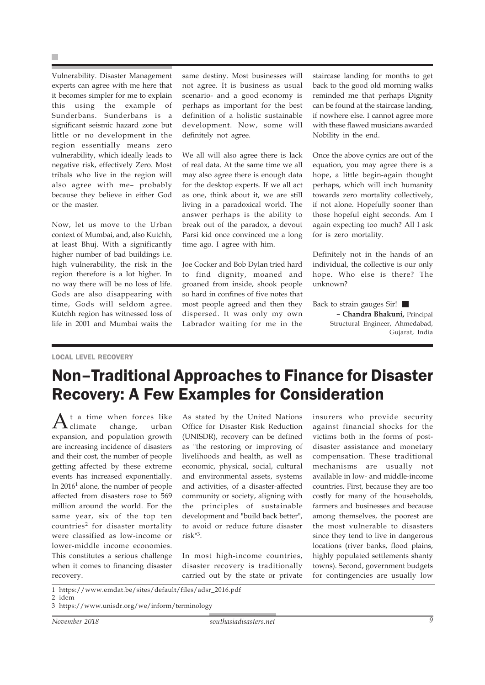×

Vulnerability. Disaster Management experts can agree with me here that it becomes simpler for me to explain this using the example of Sunderbans. Sunderbans is a significant seismic hazard zone but little or no development in the region essentially means zero vulnerability, which ideally leads to negative risk, effectively Zero. Most tribals who live in the region will also agree with me– probably because they believe in either God or the master.

Now, let us move to the Urban context of Mumbai, and, also Kutchh, at least Bhuj. With a significantly higher number of bad buildings i.e. high vulnerability, the risk in the region therefore is a lot higher. In no way there will be no loss of life. Gods are also disappearing with time, Gods will seldom agree. Kutchh region has witnessed loss of life in 2001 and Mumbai waits the same destiny. Most businesses will not agree. It is business as usual scenario- and a good economy is perhaps as important for the best definition of a holistic sustainable development. Now, some will definitely not agree.

We all will also agree there is lack of real data. At the same time we all may also agree there is enough data for the desktop experts. If we all act as one, think about it, we are still living in a paradoxical world. The answer perhaps is the ability to break out of the paradox, a devout Parsi kid once convinced me a long time ago. I agree with him.

Joe Cocker and Bob Dylan tried hard to find dignity, moaned and groaned from inside, shook people so hard in confines of five notes that most people agreed and then they dispersed. It was only my own Labrador waiting for me in the

staircase landing for months to get back to the good old morning walks reminded me that perhaps Dignity can be found at the staircase landing, if nowhere else. I cannot agree more with these flawed musicians awarded Nobility in the end.

Once the above cynics are out of the equation, you may agree there is a hope, a little begin-again thought perhaps, which will inch humanity towards zero mortality collectively, if not alone. Hopefully sooner than those hopeful eight seconds. Am I again expecting too much? All I ask for is zero mortality.

Definitely not in the hands of an individual, the collective is our only hope. Who else is there? The unknown?

Back to strain gauges Sir! **– Chandra Bhakuni,** Principal Structural Engineer, Ahmedabad, Gujarat, India

#### LOCAL LEVEL RECOVERY

### Non–Traditional Approaches to Finance for Disaster Recovery: A Few Examples for Consideration

 ${\rm A}^{\scriptscriptstyle {\rm t}}$  a time when forces like<br>change, urban expansion, and population growth are increasing incidence of disasters and their cost, the number of people getting affected by these extreme events has increased exponentially. In  $2016<sup>1</sup>$  alone, the number of people affected from disasters rose to 569 million around the world. For the same year, six of the top ten countries<sup>2</sup> for disaster mortality were classified as low-income or lower-middle income economies. This constitutes a serious challenge when it comes to financing disaster recovery.

As stated by the United Nations Office for Disaster Risk Reduction (UNISDR), recovery can be defined as "the restoring or improving of livelihoods and health, as well as economic, physical, social, cultural and environmental assets, systems and activities, of a disaster-affected community or society, aligning with the principles of sustainable development and "build back better", to avoid or reduce future disaster risk"3.

In most high-income countries, disaster recovery is traditionally carried out by the state or private insurers who provide security against financial shocks for the victims both in the forms of postdisaster assistance and monetary compensation. These traditional mechanisms are usually not available in low- and middle-income countries. First, because they are too costly for many of the households, farmers and businesses and because among themselves, the poorest are the most vulnerable to disasters since they tend to live in dangerous locations (river banks, flood plains, highly populated settlements shanty towns). Second, government budgets for contingencies are usually low

<sup>1</sup> https://www.emdat.be/sites/default/files/adsr\_2016.pdf 2 idem

<sup>3</sup> https://www.unisdr.org/we/inform/terminology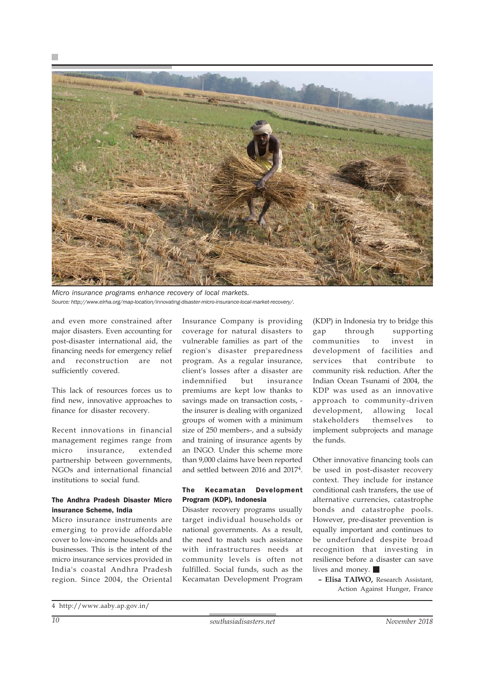



*Micro insurance programs enhance recovery of local markets. Source: http://www.elrha.org/map-location/innovating-disaster-micro-insurance-local-market-recovery/.*

and even more constrained after major disasters. Even accounting for post-disaster international aid, the financing needs for emergency relief and reconstruction are not sufficiently covered.

This lack of resources forces us to find new, innovative approaches to finance for disaster recovery.

Recent innovations in financial management regimes range from micro insurance, extended partnership between governments, NGOs and international financial institutions to social fund.

#### The Andhra Pradesh Disaster Micro insurance Scheme, India

Micro insurance instruments are emerging to provide affordable cover to low-income households and businesses. This is the intent of the micro insurance services provided in India's coastal Andhra Pradesh region. Since 2004, the Oriental Insurance Company is providing coverage for natural disasters to vulnerable families as part of the region's disaster preparedness program. As a regular insurance, client's losses after a disaster are indemnified but insurance premiums are kept low thanks to savings made on transaction costs, the insurer is dealing with organized groups of women with a minimum size of 250 members-, and a subsidy and training of insurance agents by an INGO. Under this scheme more than 9,000 claims have been reported and settled between 2016 and 20174.

#### The Kecamatan Development Program (KDP), Indonesia

Disaster recovery programs usually target individual households or national governments. As a result, the need to match such assistance with infrastructures needs at community levels is often not fulfilled. Social funds, such as the Kecamatan Development Program

(KDP) in Indonesia try to bridge this gap through supporting communities to invest in development of facilities and services that contribute to community risk reduction. After the Indian Ocean Tsunami of 2004, the KDP was used as an innovative approach to community-driven development, allowing local stakeholders themselves to implement subprojects and manage the funds.

Other innovative financing tools can be used in post-disaster recovery context. They include for instance conditional cash transfers, the use of alternative currencies, catastrophe bonds and catastrophe pools. However, pre-disaster prevention is equally important and continues to be underfunded despite broad recognition that investing in resilience before a disaster can save lives and money.

**– Elisa TAIWO,** Research Assistant, Action Against Hunger, France

<sup>4</sup> http://www.aaby.ap.gov.in/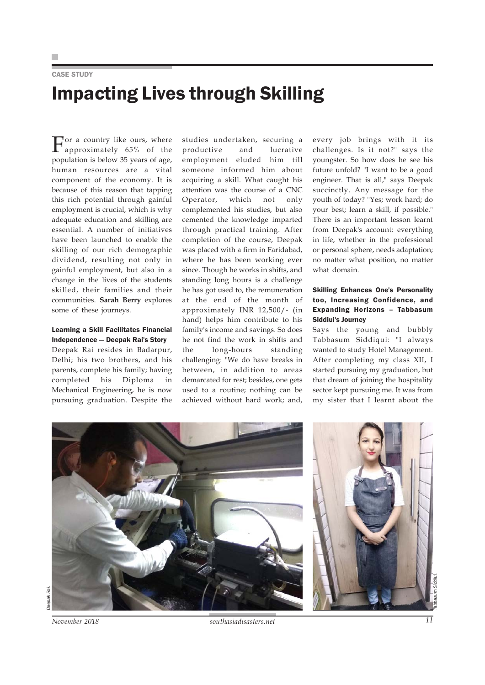CASE STUDY

# Impacting Lives through Skilling

 $\prod_{\text{energy}}$  a country like ours, where approximately 65% of the population is below 35 years of age, human resources are a vital component of the economy. It is because of this reason that tapping this rich potential through gainful employment is crucial, which is why adequate education and skilling are essential. A number of initiatives have been launched to enable the skilling of our rich demographic dividend, resulting not only in gainful employment, but also in a change in the lives of the students skilled, their families and their communities. **Sarah Berry** explores some of these journeys.

#### Learning a Skill Facilitates Financial Independence — Deepak Rai's Story

Deepak Rai resides in Badarpur, Delhi; his two brothers, and his parents, complete his family; having completed his Diploma in Mechanical Engineering, he is now pursuing graduation. Despite the studies undertaken, securing a productive and lucrative employment eluded him till someone informed him about acquiring a skill. What caught his attention was the course of a CNC Operator, which not only complemented his studies, but also cemented the knowledge imparted through practical training. After completion of the course, Deepak was placed with a firm in Faridabad, where he has been working ever since. Though he works in shifts, and standing long hours is a challenge he has got used to, the remuneration at the end of the month of approximately INR 12,500/- (in hand) helps him contribute to his family's income and savings. So does he not find the work in shifts and the long-hours standing challenging: "We do have breaks in between, in addition to areas demarcated for rest; besides, one gets used to a routine; nothing can be achieved without hard work; and, every job brings with it its challenges. Is it not?" says the youngster. So how does he see his future unfold? "I want to be a good engineer. That is all," says Deepak succinctly. Any message for the youth of today? "Yes; work hard; do your best; learn a skill, if possible." There is an important lesson learnt from Deepak's account: everything in life, whether in the professional or personal sphere, needs adaptation; no matter what position, no matter what domain.

#### Skilling Enhances One's Personality too, Increasing Confidence, and Expanding Horizons – Tabbasum Siddiui's Journey

Says the young and bubbly Tabbasum Siddiqui: "I always wanted to study Hotel Management. After completing my class XII, I started pursuing my graduation, but that dream of joining the hospitality sector kept pursuing me. It was from my sister that I learnt about the





*November 2018 southasiadisasters.net 11*